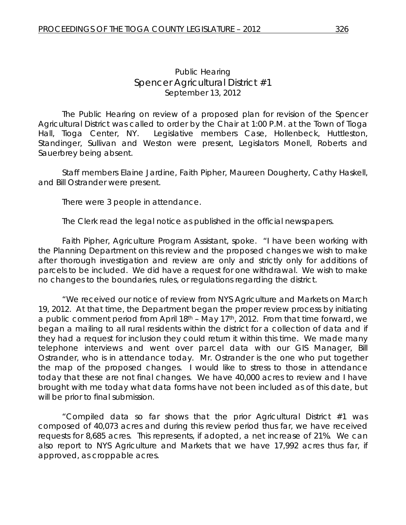The Public Hearing on review of a proposed plan for revision of the *Spencer Agricultural District* was called to order by the Chair at 1:00 P.M. at the Town of Tioga Hall, Tioga Center, NY. Legislative members Case, Hollenbeck, Huttleston, Standinger, Sullivan and Weston were present, Legislators Monell, Roberts and Sauerbrey being absent.

Staff members Elaine Jardine, Faith Pipher, Maureen Dougherty, Cathy Haskell, and Bill Ostrander were present.

There were 3 people in attendance.

The Clerk read the legal notice as published in the official newspapers.

Faith Pipher, Agriculture Program Assistant, spoke. "I have been working with the Planning Department on this review and the proposed changes we wish to make after thorough investigation and review are only and strictly only for additions of parcels to be included. We did have a request for one withdrawal. We wish to make no changes to the boundaries, rules, or regulations regarding the district.

"We received our notice of review from NYS Agriculture and Markets on March 19, 2012. At that time, the Department began the proper review process by initiating a public comment period from April  $18<sup>th</sup>$  – May 17<sup>th</sup>, 2012. From that time forward, we began a mailing to all rural residents within the district for a collection of data and if they had a request for inclusion they could return it within this time. We made many telephone interviews and went over parcel data with our GIS Manager, Bill Ostrander, who is in attendance today. Mr. Ostrander is the one who put together the map of the proposed changes. I would like to stress to those in attendance today that these are not final changes. We have 40,000 acres to review and I have brought with me today what data forms have not been included as of this date, but will be prior to final submission.

"Compiled data so far shows that the prior Agricultural District #1 was composed of 40,073 acres and during this review period thus far, we have received requests for 8,685 acres. This represents, if adopted, a net increase of 21%. We can also report to NYS Agriculture and Markets that we have 17,992 acres thus far, if approved, as croppable acres.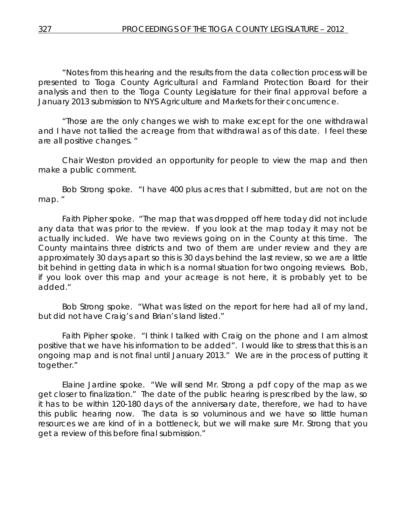"Notes from this hearing and the results from the data collection process will be presented to Tioga County Agricultural and Farmland Protection Board for their analysis and then to the Tioga County Legislature for their final approval before a January 2013 submission to NYS Agriculture and Markets for their concurrence.

"Those are the only changes we wish to make except for the one withdrawal and I have not tallied the acreage from that withdrawal as of this date. I feel these are all positive changes. "

Chair Weston provided an opportunity for people to view the map and then make a public comment.

Bob Strong spoke. "I have 400 plus acres that I submitted, but are not on the map. "

Faith Pipher spoke. "The map that was dropped off here today did not include any data that was prior to the review. If you look at the map today it may not be actually included. We have two reviews going on in the County at this time. The County maintains three districts and two of them are under review and they are approximately 30 days apart so this is 30 days behind the last review, so we are a little bit behind in getting data in which is a normal situation for two ongoing reviews. Bob, if you look over this map and your acreage is not here, it is probably yet to be added."

Bob Strong spoke. "What was listed on the report for here had all of my land, but did not have Craig's and Brian's land listed."

Faith Pipher spoke. "I think I talked with Craig on the phone and I am almost positive that we have his information to be added". I would like to stress that this is an ongoing map and is not final until January 2013." We are in the process of putting it together."

Elaine Jardine spoke. "We will send Mr. Strong a pdf copy of the map as we get closer to finalization." The date of the public hearing is prescribed by the law, so it has to be within 120-180 days of the anniversary date, therefore, we had to have this public hearing now. The data is so voluminous and we have so little human resources we are kind of in a bottleneck, but we will make sure Mr. Strong that you get a review of this before final submission."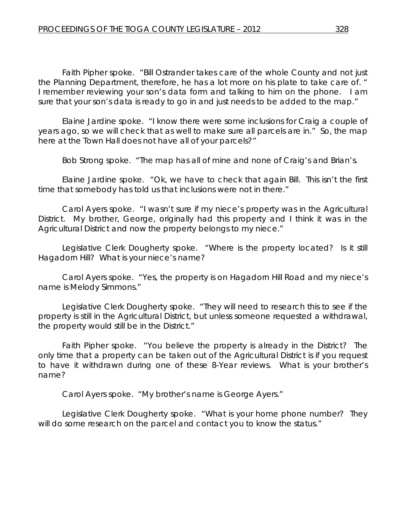Faith Pipher spoke. "Bill Ostrander takes care of the whole County and not just the Planning Department, therefore, he has a lot more on his plate to take care of. " I remember reviewing your son's data form and talking to him on the phone. I am sure that your son's data is ready to go in and just needs to be added to the map."

Elaine Jardine spoke. "I know there were some inclusions for Craig a couple of years ago, so we will check that as well to make sure all parcels are in." So, the map here at the Town Hall does not have all of your parcels?"

Bob Strong spoke. "The map has all of mine and none of Craig's and Brian's.

Elaine Jardine spoke. "Ok, we have to check that again Bill. This isn't the first time that somebody has told us that inclusions were not in there."

Carol Ayers spoke. "I wasn't sure if my niece's property was in the Agricultural District. My brother, George, originally had this property and I think it was in the Agricultural District and now the property belongs to my niece."

Legislative Clerk Dougherty spoke. "Where is the property located? Is it still Hagadorn Hill? What is your niece's name?

Carol Ayers spoke. "Yes, the property is on Hagadorn Hill Road and my niece's name is Melody Simmons."

Legislative Clerk Dougherty spoke. "They will need to research this to see if the property is still in the Agricultural District, but unless someone requested a withdrawal, the property would still be in the District."

Faith Pipher spoke. "You believe the property is already in the District? The only time that a property can be taken out of the Agricultural District is if you request to have it withdrawn during one of these 8-Year reviews. What is your brother's name?

Carol Ayers spoke. "My brother's name is George Ayers."

Legislative Clerk Dougherty spoke. "What is your home phone number? They will do some research on the parcel and contact you to know the status."